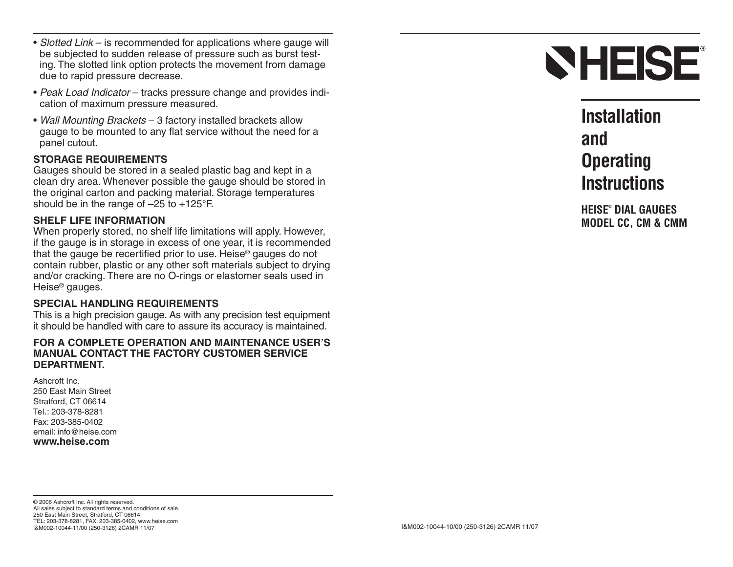- Slotted Link is recommended for applications where gauge will be subjected to sudden release of pressure such as burst testing. The slotted link option protects the movement from damage due to rapid pressure decrease.
- Peak Load Indicator tracks pressure change and provides indication of maximum pressure measured.
- Wall Mounting Brackets 3 factory installed brackets allow gauge to be mounted to any flat service without the need for a panel cutout.

### **STORAGE REQUIREMENTS**

Gauges should be stored in a sealed plastic bag and kept in a clean dry area. Whenever possible the gauge should be stored in the original carton and packing material. Storage temperatures should be in the range of –25 to +125°F.

### **SHELF LIFE INFORMATION**

When properly stored, no shelf life limitations will apply. However, if the gauge is in storage in excess of one year, it is recommended that the gauge be recertified prior to use. Heise® gauges do not contain rubber, plastic or any other soft materials subject to drying and/or cracking. There are no O-rings or elastomer seals used in Heise® gauges.

#### **SPECIAL HANDLING REQUIREMENTS**

This is a high precision gauge. As with any precision test equipment it should be handled with care to assure its accuracy is maintained.

#### **FOR A COMPLETE OPERATION AND MAINTENANCE USER'SMANUAL CONTACT THE FACTORY CUSTOMER SERVICEDEPARTMENT.**

Ashcroft Inc.250 East Main StreetStratford, CT 06614 Tel.: 203-378-8281Fax: 203-385-0402email: info@heise.com**www.heise.com**



**InstallationandOperating Instructions**

**HEISE® DIAL GAUGESMODEL CC, CM & CMM**